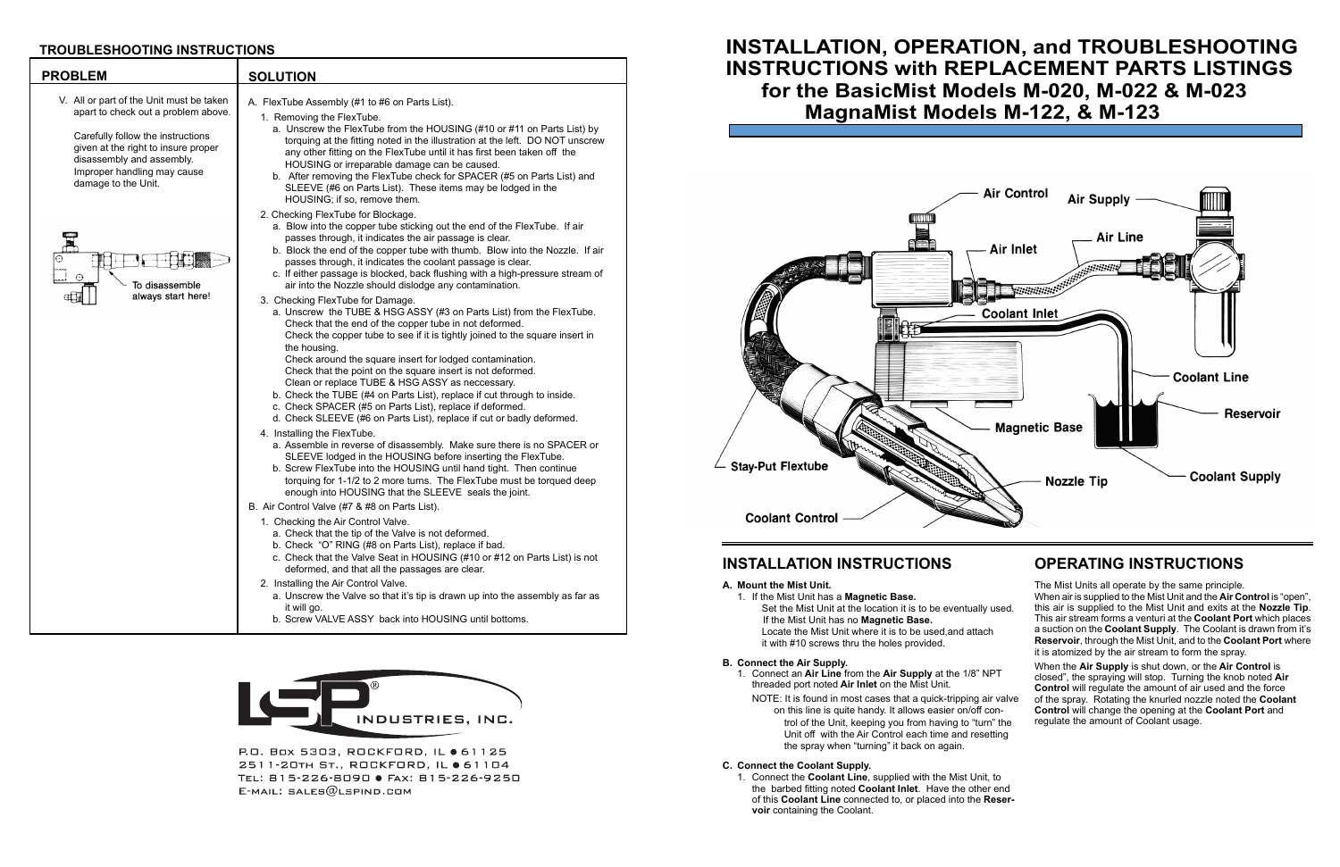# **INSTALLATION, OPERATION, and TROUBLESHOOTING INSTRUCTIONS with REPLACEMENT PARTS LISTINGS for the BasicMist Models M-020, M-022 & M-023 MagnaMist Models M-122, & M-123**



# **INSTALLATION INSTRUCTIONS**

#### **A. Mount the Mist Unit.**

1. Connect an Air Line from the Air Supply at the 1/8" threaded port noted **Air Inlet** on the Mist Unit.

 1. If the Mist Unit has a **Magnetic Base.**  Set the Mist Unit at the location it is to be eventually used. If the Mist Unit has no **Magnetic Base.** Locate the Mist Unit where it is to be used, and atta it with #10 screws thru the holes provided.

NOTE: It is found in most cases that a quick-tripping on this line is quite handy. It allows easier on/off trol of the Unit, keeping you from having to "tu Unit off with the Air Control each time and rest the spray when "turning" it back on again.

### **B. Connect the Air Supply.**

The Mist Units all operate by the same principle. When air is supplied to the Mist Unit and the **Air Control** is "open", this air is supplied to the Mist Unit and exits at the **Nozzle Tip**. This air stream forms a venturi at the **Coolant Port** which places suction on the **Coolant Supply**. The Coolant is drawn from it's **Reservoir**, through the Mist Unit, and to the **Coolant Port** where is atomized by the air stream to form the spray.

When the **Air Supply** is shut down, or the **Air Control** is losed", the spraying will stop. Turning the knob noted Air **Control** will requiate the amount of air used and the force of the spray. Rotating the knurled nozzle noted the **Coolant Control** will change the opening at the **Coolant Port** and egulate the amount of Coolant usage.

#### **C. Connect the Coolant Supply.**

1. Connect the **Coolant Line**, supplied with the Mist Unit, to the barbed fitting noted **Coolant Inlet**. Have the other end of this **Coolant Line** connected to, or placed into the **Reservoir** containing the Coolant.

# **OPERATING INSTRUCTIONS**

| ch        | а  |
|-----------|----|
|           | R  |
|           | it |
|           | v  |
| NPT       | Ċ  |
|           | C  |
| air valve | O  |
| con-      | C  |
| rn" the   | r  |
| etting    |    |

### **TROUBLESHOOTING INSTRUCTIONS**

**PROBLEM SOLUTION** V. All or part of the Unit must be taken A. FlexTube Assembly (#1 to #6 on Parts List). apart to check out a problem above. 1. Removing the FlexTube. a. Unscrew the FlexTube from the HOUSING (#10 or #11 on Parts List) by Carefully follow the instructions torquing at the fitting noted in the illustration at the left. DO NOT unscrew given at the right to insure proper any other fitting on the FlexTube until it has first been taken off the disassembly and assembly. HOUSING or irreparable damage can be caused. Improper handling may cause b. After removing the FlexTube check for SPACER (#5 on Parts List) and damage to the Unit. SLEEVE (#6 on Parts List). These items may be lodged in the HOUSING; if so, remove them. 2. Checking FlexTube for Blockage. a. Blow into the copper tube sticking out the end of the FlexTube. If air t passes through, it indicates the air passage is clear. b. Block the end of the copper tube with thumb. Blow into the Nozzle. If air  $\sqrt{1+|x|}$  passes through, it indicates the coolant passage is clear. c. If either passage is blocked, back flushing with a high-pressure stream of To disassemble air into the Nozzle should dislodge any contamination. always start here! 3. Checking FlexTube for Damage. a. Unscrew the TUBE & HSG ASSY (#3 on Parts List) from the FlexTube. Check that the end of the copper tube in not deformed. Check the copper tube to see if it is tightly joined to the square insert in the housing. Check around the square insert for lodged contamination. Check that the point on the square insert is not deformed. Clean or replace TUBE & HSG ASSY as neccessary. b. Check the TUBE (#4 on Parts List), replace if cut through to inside. c. Check SPACER (#5 on Parts List), replace if deformed. d. Check SLEEVE (#6 on Parts List), replace if cut or badly deformed. 4. Installing the FlexTube. a. Assemble in reverse of disassembly. Make sure there is no SPACER or SLEEVE lodged in the HOUSING before inserting the FlexTube. b. Screw FlexTube into the HOUSING until hand tight. Then continue torquing for 1-1/2 to 2 more turns. The FlexTube must be torqued deep enough into HOUSING that the SLEEVE seals the joint. B. Air Control Valve (#7 & #8 on Parts List). 1. Checking the Air Control Valve. a. Check that the tip of the Valve is not deformed. b. Check "O" RING (#8 on Parts List), replace if bad. c. Check that the Valve Seat in HOUSING (#10 or #12 on Parts List) is not deformed, and that all the passages are clear. 2. Installing the Air Control Valve. a. Unscrew the Valve so that it's tip is drawn up into the assembly as far as it will go.

b. Screw VALVE ASSY back into HOUSING until bottoms.



P.O. Box 5303, ROCKFORD, IL  $\bullet$  61125 2511-20TH ST., ROCKFORD, IL 061104 TEL: 815-226-8090 · FAX: 815-226-9250  $E$ -MAIL: SALES $@$ LSPIND.COM